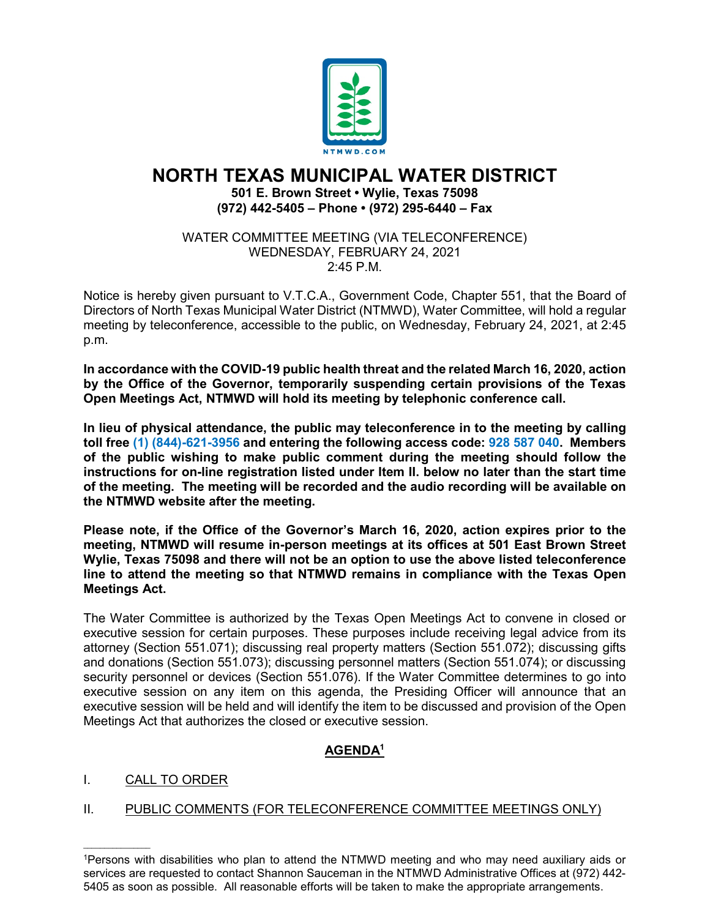

# **NORTH TEXAS MUNICIPAL WATER DISTRICT 501 E. Brown Street • Wylie, Texas 75098 (972) 442-5405 – Phone • (972) 295-6440 – Fax**

WATER COMMITTEE MEETING (VIA TELECONFERENCE) WEDNESDAY, FEBRUARY 24, 2021 2:45 P.M.

Notice is hereby given pursuant to V.T.C.A., Government Code, Chapter 551, that the Board of Directors of North Texas Municipal Water District (NTMWD), Water Committee, will hold a regular meeting by teleconference, accessible to the public, on Wednesday, February 24, 2021, at 2:45 p.m.

**In accordance with the COVID-19 public health threat and the related March 16, 2020, action by the Office of the Governor, temporarily suspending certain provisions of the Texas Open Meetings Act, NTMWD will hold its meeting by telephonic conference call.** 

**In lieu of physical attendance, the public may teleconference in to the meeting by calling toll free (1) (844)-621-3956 and entering the following access code: 928 587 040. Members of the public wishing to make public comment during the meeting should follow the instructions for on-line registration listed under Item II. below no later than the start time of the meeting. The meeting will be recorded and the audio recording will be available on the NTMWD website after the meeting.**

**Please note, if the Office of the Governor's March 16, 2020, action expires prior to the meeting, NTMWD will resume in-person meetings at its offices at 501 East Brown Street Wylie, Texas 75098 and there will not be an option to use the above listed teleconference line to attend the meeting so that NTMWD remains in compliance with the Texas Open Meetings Act.**

The Water Committee is authorized by the Texas Open Meetings Act to convene in closed or executive session for certain purposes. These purposes include receiving legal advice from its attorney (Section 551.071); discussing real property matters (Section 551.072); discussing gifts and donations (Section 551.073); discussing personnel matters (Section 551.074); or discussing security personnel or devices (Section 551.076). If the Water Committee determines to go into executive session on any item on this agenda, the Presiding Officer will announce that an executive session will be held and will identify the item to be discussed and provision of the Open Meetings Act that authorizes the closed or executive session.

## **AGENDA1**

### I. CALL TO ORDER

 $\mathcal{L}_\text{max}$  and  $\mathcal{L}_\text{max}$  and  $\mathcal{L}_\text{max}$ 

### II. PUBLIC COMMENTS (FOR TELECONFERENCE COMMITTEE MEETINGS ONLY)

<sup>1</sup>Persons with disabilities who plan to attend the NTMWD meeting and who may need auxiliary aids or services are requested to contact Shannon Sauceman in the NTMWD Administrative Offices at (972) 442- 5405 as soon as possible. All reasonable efforts will be taken to make the appropriate arrangements.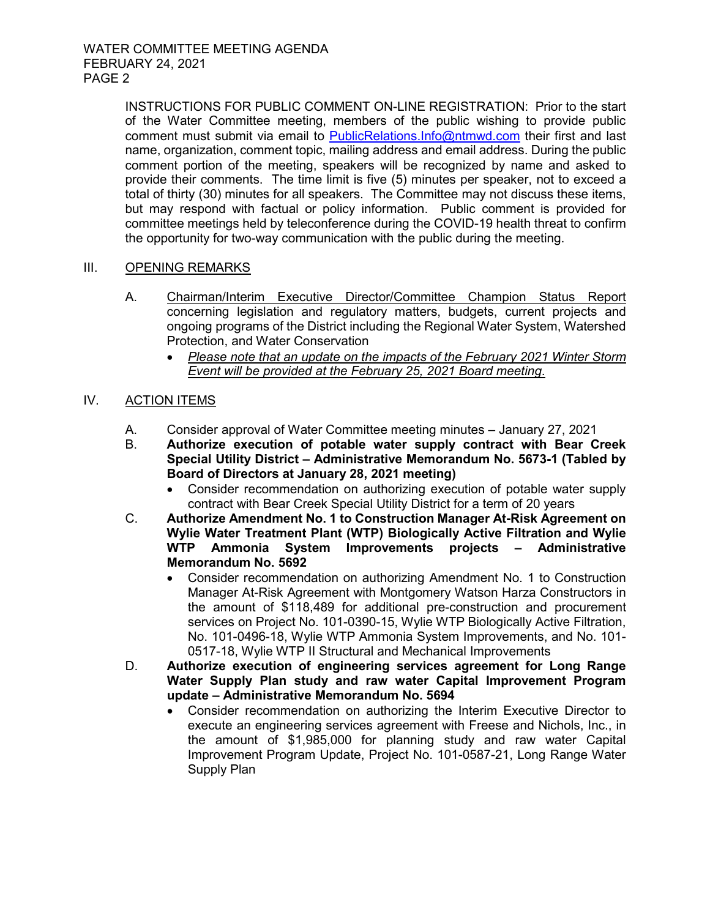INSTRUCTIONS FOR PUBLIC COMMENT ON-LINE REGISTRATION: Prior to the start of the Water Committee meeting, members of the public wishing to provide public comment must submit via email to [PublicRelations.Info@ntmwd.com](mailto:PublicRelations.Info@ntmwd.com) their first and last name, organization, comment topic, mailing address and email address. During the public comment portion of the meeting, speakers will be recognized by name and asked to provide their comments. The time limit is five (5) minutes per speaker, not to exceed a total of thirty (30) minutes for all speakers. The Committee may not discuss these items, but may respond with factual or policy information. Public comment is provided for committee meetings held by teleconference during the COVID-19 health threat to confirm the opportunity for two-way communication with the public during the meeting.

#### III. OPENING REMARKS

- A. Chairman/Interim Executive Director/Committee Champion Status Report concerning legislation and regulatory matters, budgets, current projects and ongoing programs of the District including the Regional Water System, Watershed Protection, and Water Conservation
	- *Please note that an update on the impacts of the February 2021 Winter Storm Event will be provided at the February 25, 2021 Board meeting*.

#### IV. ACTION ITEMS

- A. Consider approval of Water Committee meeting minutes January 27, 2021<br>B. Authorize execution of potable water supply contract with Bear C
	- B. **Authorize execution of potable water supply contract with Bear Creek Special Utility District – Administrative Memorandum No. 5673-1 (Tabled by Board of Directors at January 28, 2021 meeting)**
		- Consider recommendation on authorizing execution of potable water supply contract with Bear Creek Special Utility District for a term of 20 years
- C. **Authorize Amendment No. 1 to Construction Manager At-Risk Agreement on Wylie Water Treatment Plant (WTP) Biologically Active Filtration and Wylie WTP Ammonia System Improvements projects – Administrative Memorandum No. 5692**
	- Consider recommendation on authorizing Amendment No. 1 to Construction Manager At-Risk Agreement with Montgomery Watson Harza Constructors in the amount of \$118,489 for additional pre-construction and procurement services on Project No. 101-0390-15, Wylie WTP Biologically Active Filtration, No. 101-0496-18, Wylie WTP Ammonia System Improvements, and No. 101- 0517-18, Wylie WTP II Structural and Mechanical Improvements
- D. **Authorize execution of engineering services agreement for Long Range Water Supply Plan study and raw water Capital Improvement Program update – Administrative Memorandum No. 5694**
	- Consider recommendation on authorizing the Interim Executive Director to execute an engineering services agreement with Freese and Nichols, Inc., in the amount of \$1,985,000 for planning study and raw water Capital Improvement Program Update, Project No. 101-0587-21, Long Range Water Supply Plan